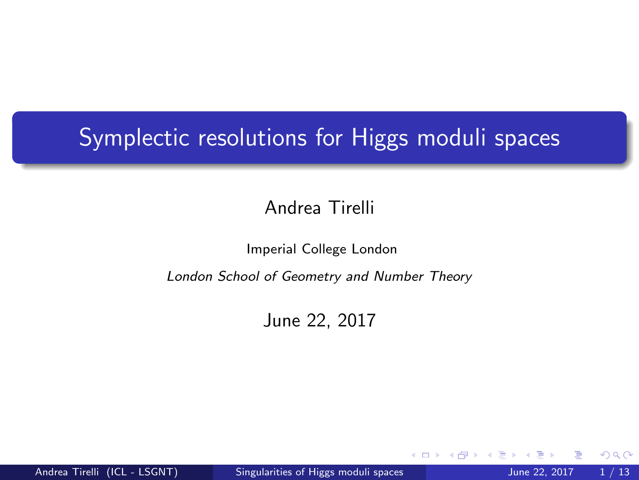# <span id="page-0-0"></span>**Symplectic resolutions for Higgs moduli spaces**

#### Andrea Tirelli

#### Imperial College London

#### London School of Geometry and Number Theory

#### June 22, 2017

4 D F

 $QQ$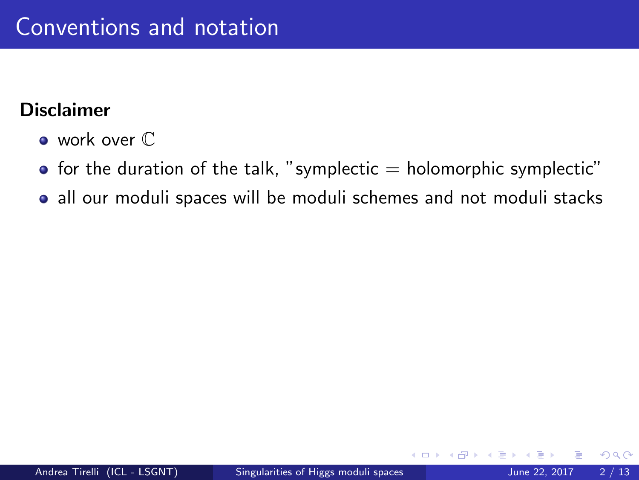### **Disclaimer**

- work over  $\mathbb C$
- $\bullet$  for the duration of the talk, "symplectic  $=$  holomorphic symplectic"
- all our moduli spaces will be moduli schemes and not moduli stacks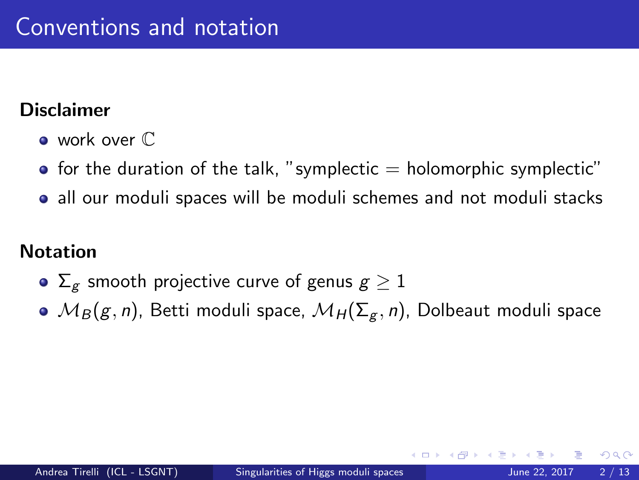#### Disclaimer

- work over  $\mathbb C$
- $\bullet$  for the duration of the talk, "symplectic  $=$  holomorphic symplectic"
- all our moduli spaces will be moduli schemes and not moduli stacks

## Notation

- $\Sigma_g$  smooth projective curve of genus  $g \geq 1$
- $\bullet$   $M_B(g, n)$ , Betti moduli space,  $M_H(\Sigma_g, n)$ , Dolbeaut moduli space

つへへ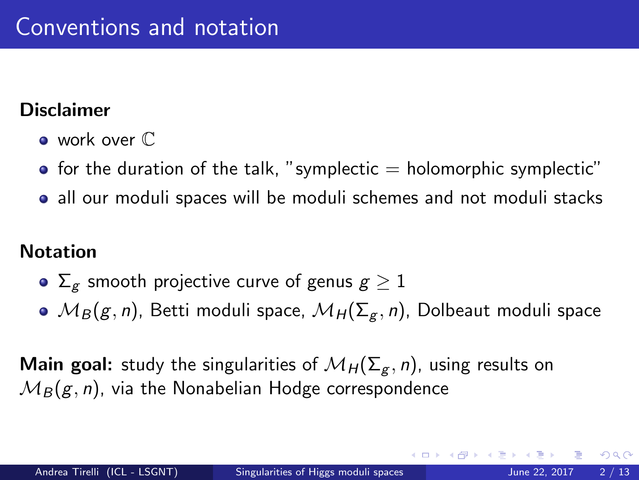## Disclaimer

- work over  $\mathbb C$
- $\bullet$  for the duration of the talk, "symplectic  $=$  holomorphic symplectic"
- all our moduli spaces will be moduli schemes and not moduli stacks

## Notation

- $\Sigma_g$  smooth projective curve of genus  $g \geq 1$
- $\bullet$   $\mathcal{M}_{B}(g, n)$ , Betti moduli space,  $\mathcal{M}_{H}(\Sigma_{g}, n)$ , Dolbeaut moduli space

**Main goal:** study the singularities of  $\mathcal{M}_H(\Sigma_g, n)$ , using results on  $M_B(g, n)$ , via the Nonabelian Hodge correspondence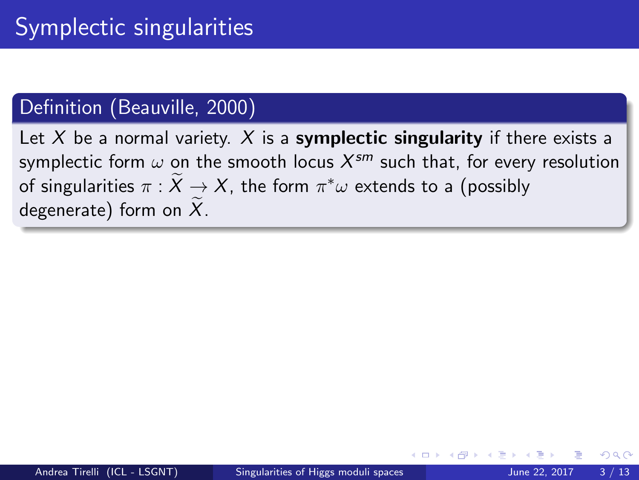## Definition (Beauville, 2000)

Let X be a normal variety. X is a **symplectic singularity** if there exists a symplectic form  $\omega$  on the smooth locus  $X^{sm}$  such that, for every resolution of singularities  $\pi : \tilde{X} \to X$ , the form  $\pi^*\omega$  extends to a (possibly degenerate) form on  $\overline{X}$ .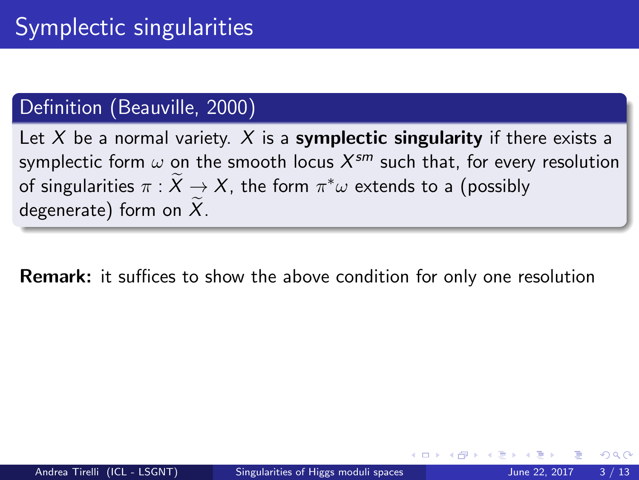## Definition (Beauville, 2000)

Let X be a normal variety. X is a **symplectic singularity** if there exists a symplectic form  $\omega$  on the smooth locus  $X^{sm}$  such that, for every resolution of singularities  $\pi : \tilde{X} \to X$ , the form  $\pi^*\omega$  extends to a (possibly degenerate) form on  $X$ .

Remark: it suffices to show the above condition for only one resolution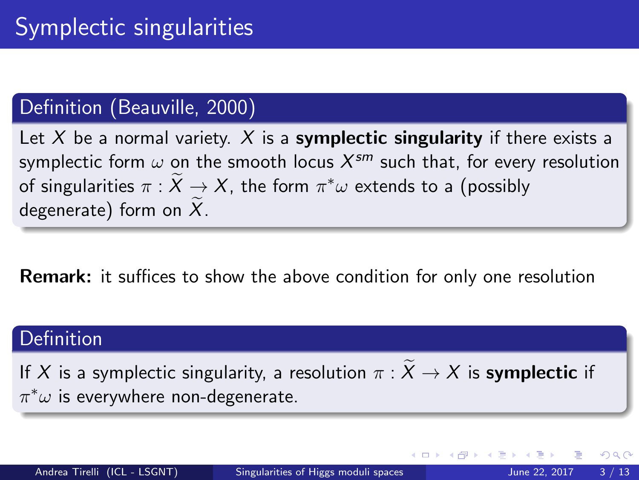## Definition (Beauville, 2000)

Let  $X$  be a normal variety.  $X$  is a symplectic singularity if there exists a symplectic form  $\omega$  on the smooth locus  $X^{sm}$  such that, for every resolution of singularities  $\pi : \tilde{X} \to X$ , the form  $\pi^*\omega$  extends to a (possibly degenerate) form on  $\overline{X}$ .

Remark: it suffices to show the above condition for only one resolution

#### Definition

If X is a symplectic singularity, a resolution  $\pi : \widetilde{X} \to X$  is **symplectic** if  $\pi^*\omega$  is everywhere non-degenerate.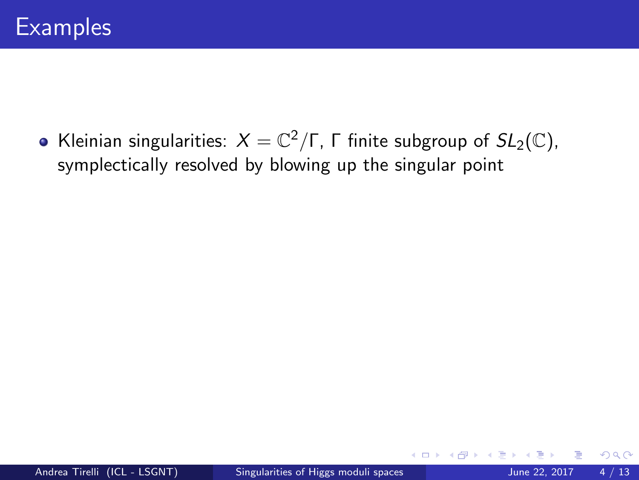Kleinian singularities:  $X = \mathbb{C}^2/\Gamma$ ,  $\Gamma$  finite subgroup of  $SL_2(\mathbb{C})$ , symplectically resolved by blowing up the singular point

4 0 8

 $299$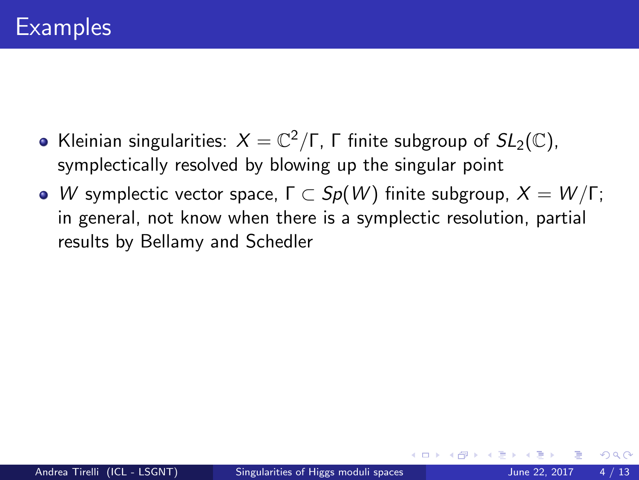- Kleinian singularities:  $X = \mathbb{C}^2/\Gamma$ ,  $\Gamma$  finite subgroup of  $SL_2(\mathbb{C})$ , symplectically resolved by blowing up the singular point
- W symplectic vector space,  $\Gamma \subset Sp(W)$  finite subgroup,  $X = W/\Gamma$ ; in general, not know when there is a symplectic resolution, partial results by Bellamy and Schedler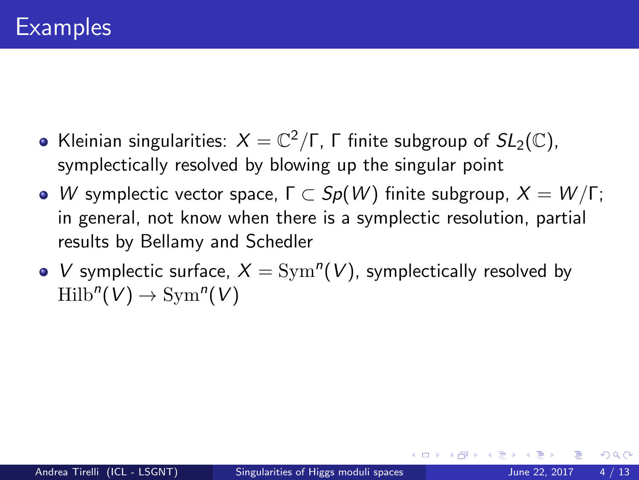- Kleinian singularities:  $X = \mathbb{C}^2/\Gamma$ ,  $\Gamma$  finite subgroup of  $SL_2(\mathbb{C})$ , symplectically resolved by blowing up the singular point
- W symplectic vector space,  $\Gamma \subset Sp(W)$  finite subgroup,  $X = W/\Gamma$ ; in general, not know when there is a symplectic resolution, partial results by Bellamy and Schedler
- V symplectic surface,  $X = \text{Sym}^n(V)$ , symplectically resolved by  $\text{Hilb}^n(V) \to \text{Sym}^n(V)$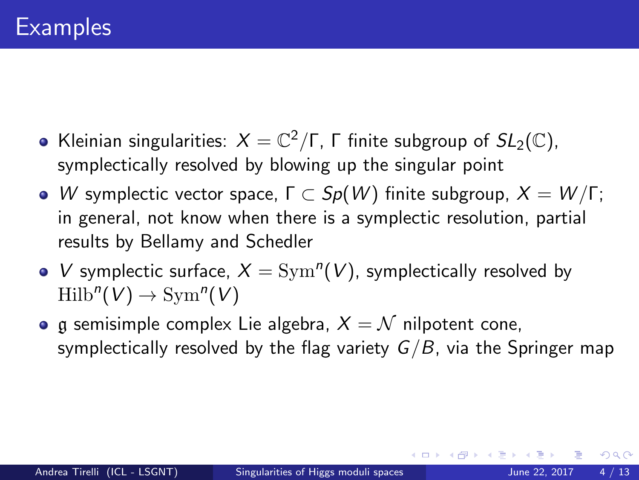- Kleinian singularities:  $X = \mathbb{C}^2/\Gamma$ ,  $\Gamma$  finite subgroup of  $SL_2(\mathbb{C})$ , symplectically resolved by blowing up the singular point
- W symplectic vector space,  $\Gamma \subset Sp(W)$  finite subgroup,  $X = W/\Gamma$ ; in general, not know when there is a symplectic resolution, partial results by Bellamy and Schedler
- V symplectic surface,  $X = \text{Sym}^n(V)$ , symplectically resolved by  $\text{Hilb}^n(V) \to \text{Sym}^n(V)$
- **•** g semisimple complex Lie algebra,  $X = N$  nilpotent cone, symplectically resolved by the flag variety  $G/B$ , via the Springer map

(□ ) (何 ) (日 ) (日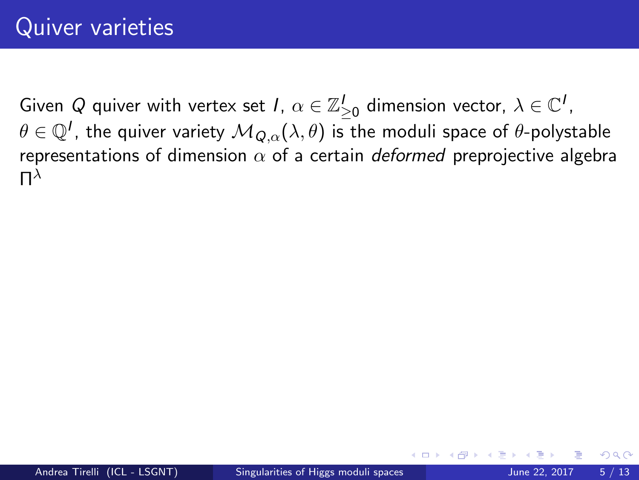つひひ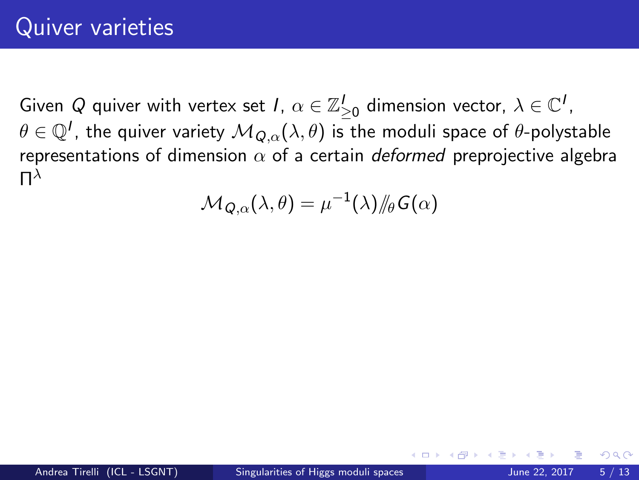$$
\mathcal{M}_{\bm{Q},\alpha}(\lambda,\theta)=\mu^{-1}(\lambda)/\!\!/\theta\, \mathsf{G}(\alpha)
$$

つひひ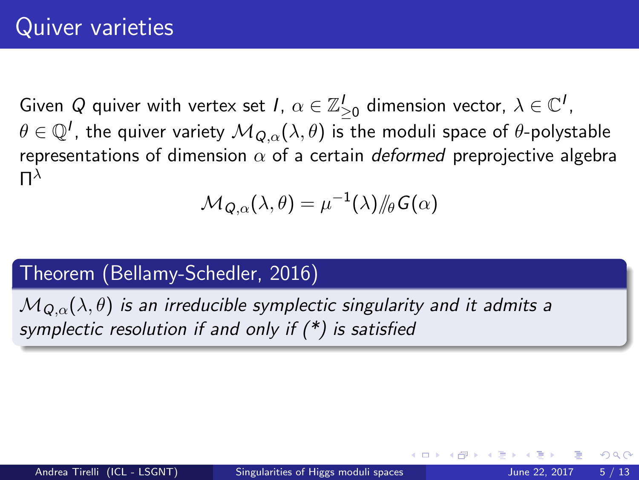$$
\mathcal{M}_{\mathcal{Q}, \alpha}(\lambda, \theta) = \mu^{-1}(\lambda) /\!\!/_{\theta} \mathcal{G}(\alpha)
$$

#### Theorem (Bellamy-Schedler, 2016)

 $M_{Q,\alpha}(\lambda,\theta)$  is an irreducible symplectic singularity and it admits a symplectic resolution if and only if  $(*)$  is satisfied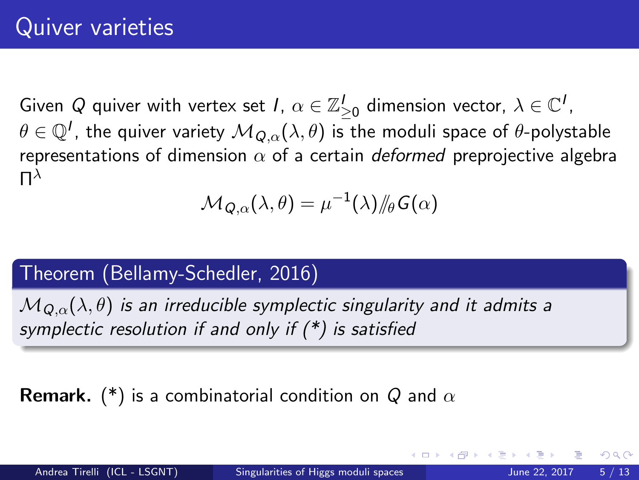$$
\mathcal{M}_{\mathcal{Q}, \alpha}(\lambda, \theta) = \mu^{-1}(\lambda) /\!\!/_{\theta} \mathcal{G}(\alpha)
$$

## Theorem (Bellamy-Schedler, 2016)

 $M_{Q,\alpha}(\lambda,\theta)$  is an irreducible symplectic singularity and it admits a symplectic resolution if and only if  $(*)$  is satisfied

**Remark.** (\*) is a combinatorial condition on Q and  $\alpha$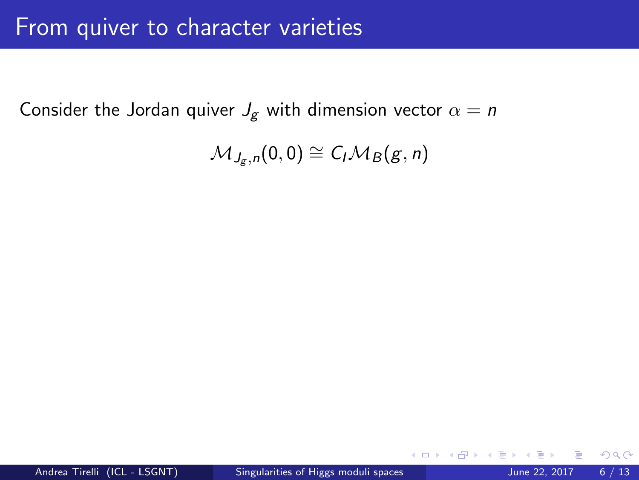Consider the Jordan quiver  $J_g$  with dimension vector  $\alpha = n$ 

$$
\mathcal{M}_{J_g,n}(0,0) \cong C_I \mathcal{M}_B(g,n)
$$

**∢ ⊡** 

 $298$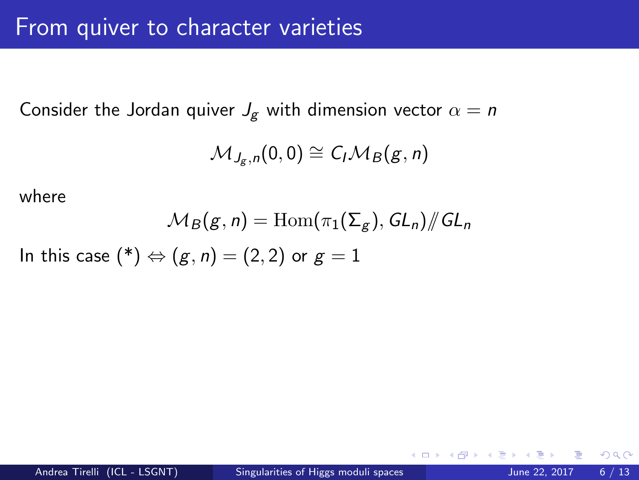Consider the Jordan quiver  $J_g$  with dimension vector  $\alpha = n$ 

$$
\mathcal{M}_{J_g,n}(0,0) \cong C_I \mathcal{M}_B(g,n)
$$

where

$$
\mathcal{M}_B(g,n) = \text{Hom}(\pi_1(\Sigma_g), GL_n)/\!\!/ GL_n
$$

In this case  $(*) \Leftrightarrow (g, n) = (2, 2)$  or  $g = 1$ 

 $299$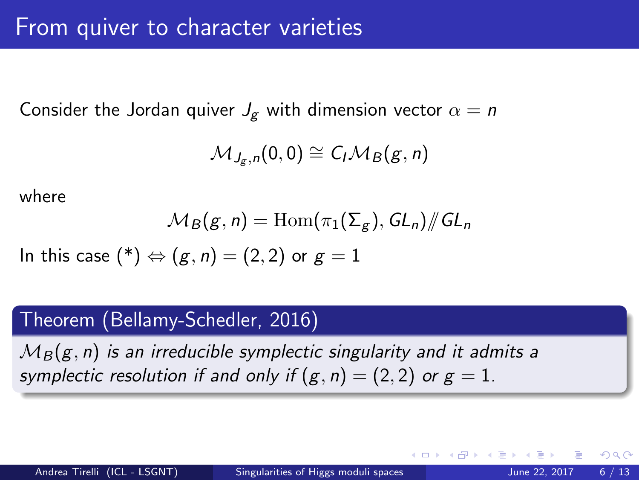Consider the Jordan quiver  $J_g$  with dimension vector  $\alpha = n$ 

$$
\mathcal{M}_{J_g,n}(0,0) \cong C_I \mathcal{M}_B(g,n)
$$

where

$$
\mathcal{M}_B(g,n) = \text{Hom}(\pi_1(\Sigma_g), GL_n)/\!\!/ GL_n
$$

In this case (\*) 
$$
\Leftrightarrow
$$
  $(g, n) = (2, 2)$  or  $g = 1$ 

#### Theorem (Bellamy-Schedler, 2016)

 $M_B(g, n)$  is an irreducible symplectic singularity and it admits a symplectic resolution if and only if  $(g, n) = (2, 2)$  or  $g = 1$ .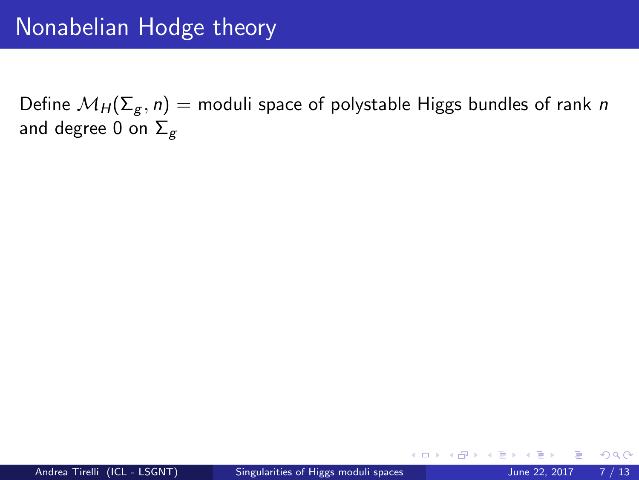Define  $\mathcal{M}_H(\Sigma_g, n)$  = moduli space of polystable Higgs bundles of rank n and degree 0 on  $\Sigma_g$ 

4 D F

 $298$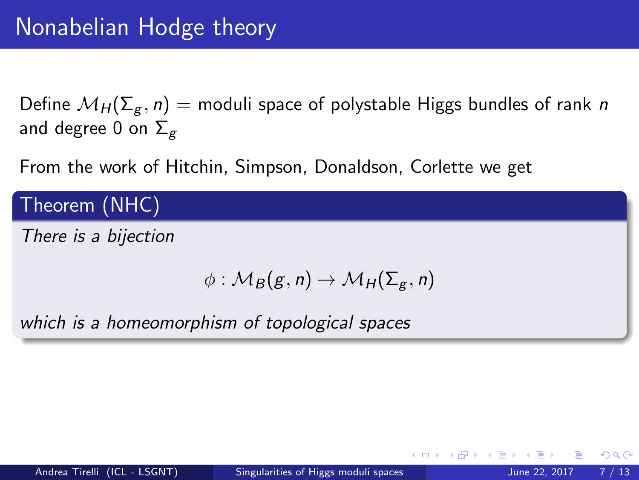Define  $\mathcal{M}_H(\Sigma_g, n)$  = moduli space of polystable Higgs bundles of rank n and degree 0 on  $\Sigma_g$ 

From the work of Hitchin, Simpson, Donaldson, Corlette we get

Theorem (NHC)

There is a bijection

$$
\phi: \mathcal{M}_B(g,n) \to \mathcal{M}_H(\Sigma_g,n)
$$

which is a homeomorphism of topological spaces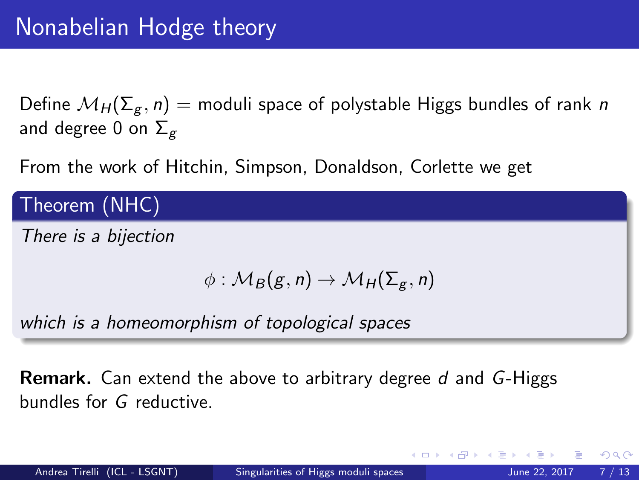Define  $\mathcal{M}_H(\Sigma_g, n)$  = moduli space of polystable Higgs bundles of rank n and degree 0 on  $\Sigma_g$ 

From the work of Hitchin, Simpson, Donaldson, Corlette we get

Theorem (NHC)

There is a bijection

$$
\phi: \mathcal{M}_B(g,n) \to \mathcal{M}_H(\Sigma_g,n)
$$

which is a homeomorphism of topological spaces

**Remark.** Can extend the above to arbitrary degree d and G-Higgs bundles for G reductive.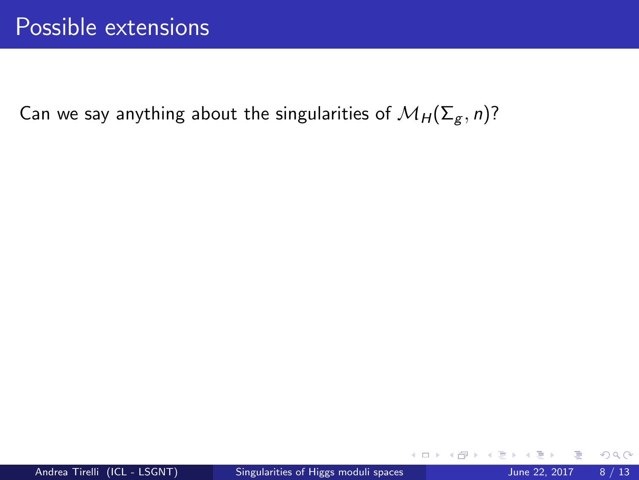4 0 8

 $298$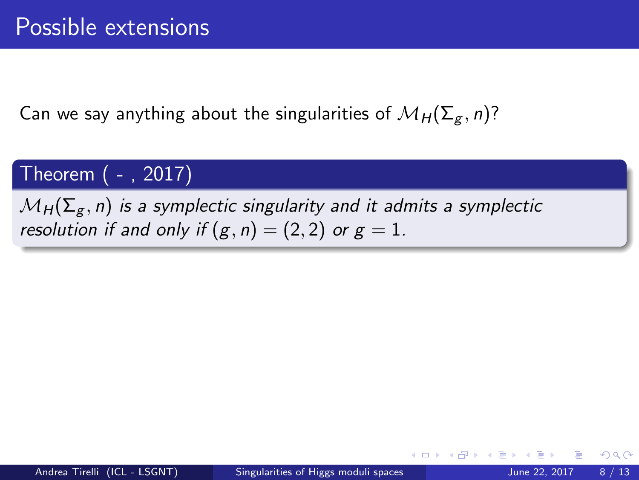## Theorem ( - , 2017)

 $\mathcal{M}_{H}(\Sigma_{g}, n)$  is a symplectic singularity and it admits a symplectic resolution if and only if  $(g, n) = (2, 2)$  or  $g = 1$ .

 $QQ$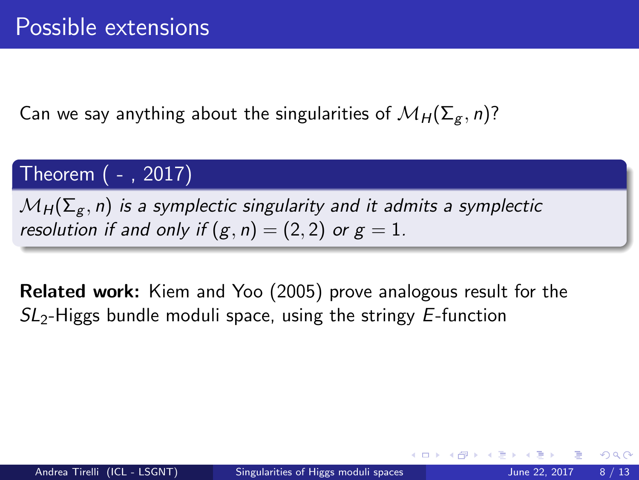## Theorem ( - , 2017)

 $\mathcal{M}_{H}(\Sigma_g, n)$  is a symplectic singularity and it admits a symplectic resolution if and only if  $(g, n) = (2, 2)$  or  $g = 1$ .

Related work: Kiem and Yoo (2005) prove analogous result for the  $SL<sub>2</sub>$ -Higgs bundle moduli space, using the stringy E-function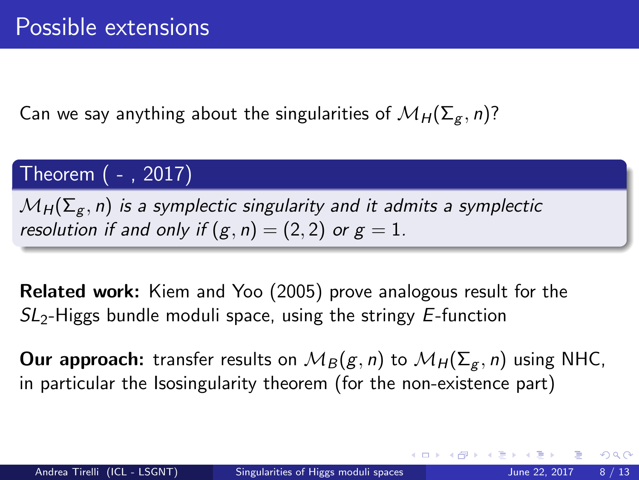## Theorem ( - , 2017)

 $\mathcal{M}_{H}(\Sigma_g, n)$  is a symplectic singularity and it admits a symplectic resolution if and only if  $(g, n) = (2, 2)$  or  $g = 1$ .

Related work: Kiem and Yoo (2005) prove analogous result for the  $SL<sub>2</sub>$ -Higgs bundle moduli space, using the stringy E-function

**Our approach:** transfer results on  $M_B(g, n)$  to  $M_H(\Sigma_g, n)$  using NHC, in particular the Isosingularity theorem (for the non-existence part)

 $QQ$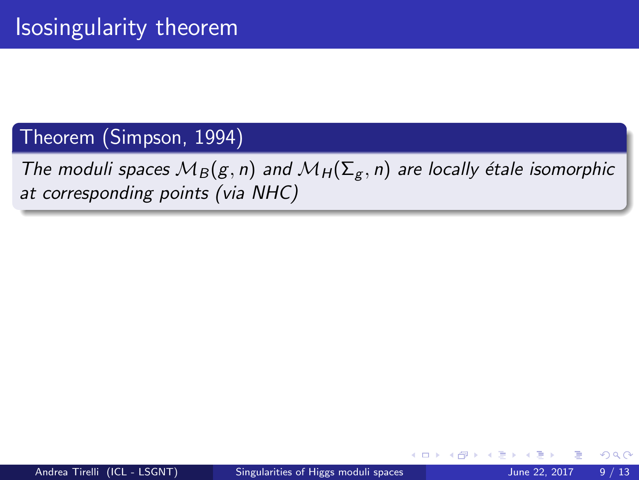## Theorem (Simpson, 1994)

## The moduli spaces  $M_B(g, n)$  and  $M_H(\Sigma_g, n)$  are locally étale isomorphic at corresponding points (via NHC)

4 D F

 $290$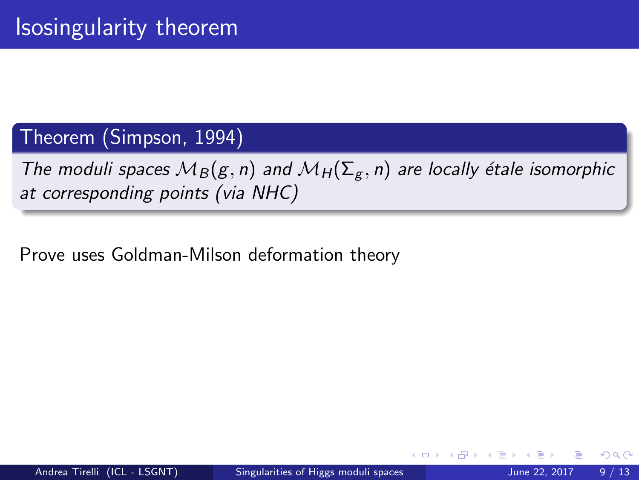## Theorem (Simpson, 1994)

The moduli spaces  $M_B(g, n)$  and  $M_H(\Sigma_g, n)$  are locally étale isomorphic at corresponding points (via NHC)

Prove uses Goldman-Milson deformation theory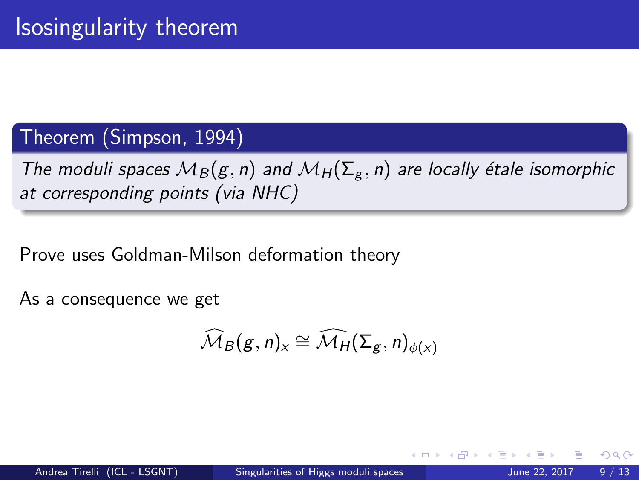## Theorem (Simpson, 1994)

The moduli spaces  $M_B(g, n)$  and  $M_H(\Sigma_g, n)$  are locally étale isomorphic at corresponding points (via NHC)

Prove uses Goldman-Milson deformation theory

As a consequence we get

$$
\widehat{\mathcal{M}}_{B}(g,n)_{x}\cong \widehat{\mathcal{M}_{H}}(\Sigma_{g},n)_{\phi(x)}
$$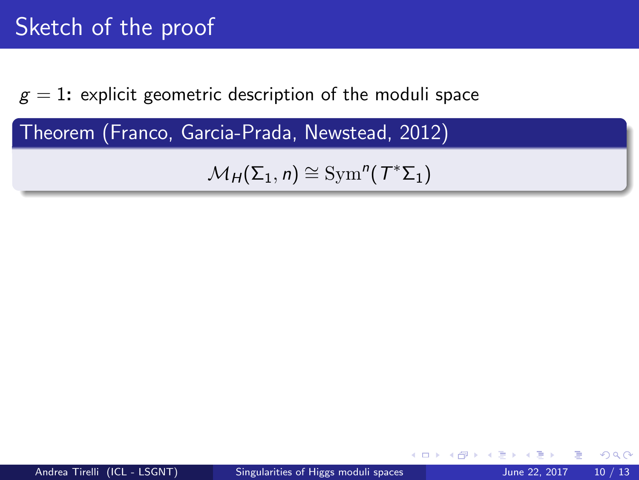$g = 1$ : explicit geometric description of the moduli space

Theorem (Franco, Garcia-Prada, Newstead, 2012)

 $\mathcal{M}_H(\Sigma_1, n) \cong \text{Sym}^n(\mathcal{T}^*\Sigma_1)$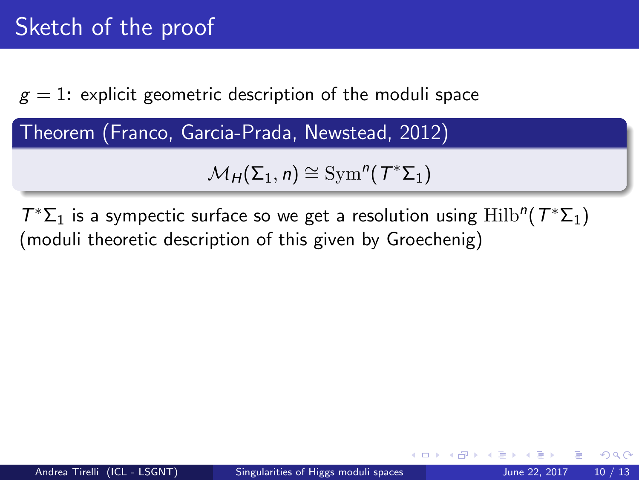$g = 1$ : explicit geometric description of the moduli space

Theorem (Franco, Garcia-Prada, Newstead, 2012)

 $\mathcal{M}_H(\Sigma_1, n) \cong \text{Sym}^n(\mathcal{T}^*\Sigma_1)$ 

 $T^*\Sigma_1$  is a sympectic surface so we get a resolution using  $\mathrm{Hilb}^n(T^*\Sigma_1)$ (moduli theoretic description of this given by Groechenig)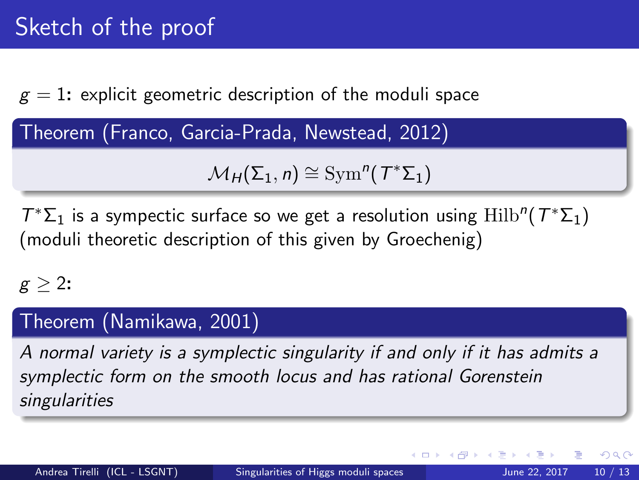$g = 1$ : explicit geometric description of the moduli space

Theorem (Franco, Garcia-Prada, Newstead, 2012)

 $\mathcal{M}_H(\Sigma_1, n) \cong \text{Sym}^n(\mathcal{T}^*\Sigma_1)$ 

 $T^*\Sigma_1$  is a sympectic surface so we get a resolution using  $\mathrm{Hilb}^n(T^*\Sigma_1)$ (moduli theoretic description of this given by Groechenig)

## $g > 2$ :

## Theorem (Namikawa, 2001)

A normal variety is a symplectic singularity if and only if it has admits a symplectic form on the smooth locus and has rational Gorenstein singularities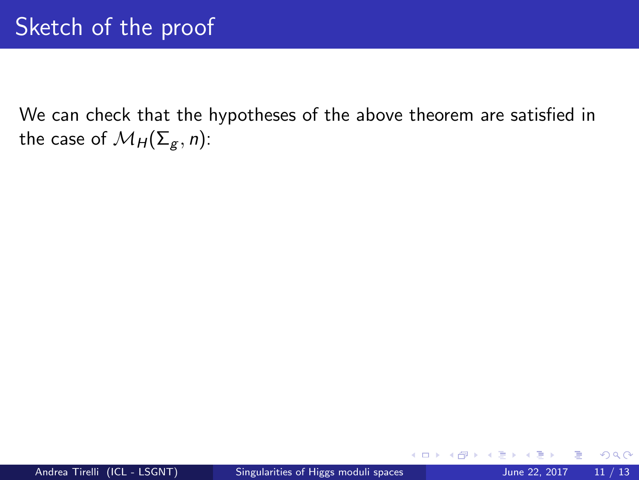$\leftarrow$ 

 $QQ$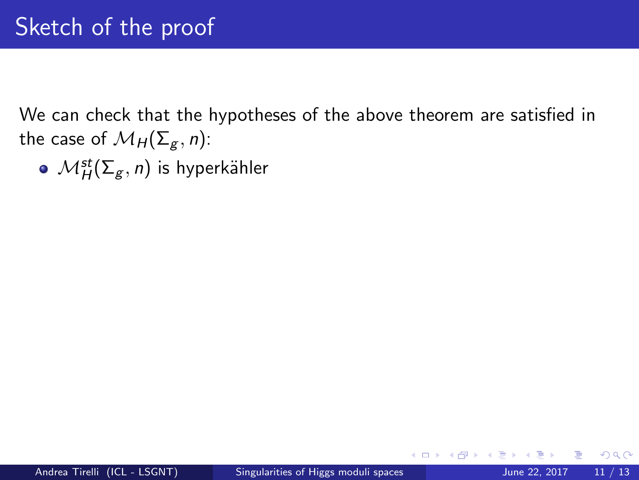$\mathcal{M}_H^{st}(\mathsf{\Sigma}_g,n)$  is hyperkähler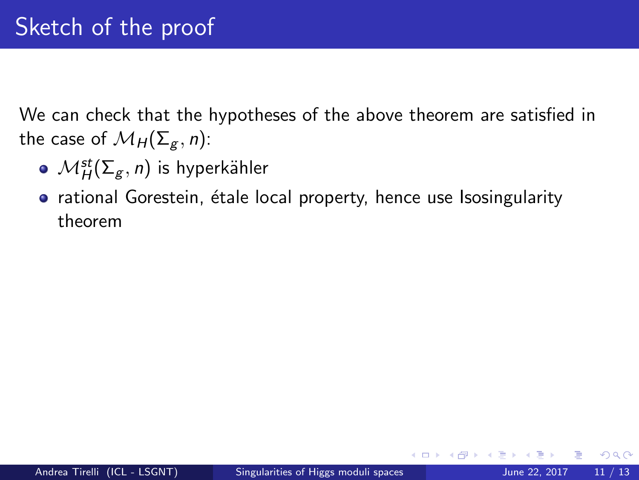- $\mathcal{M}_H^{st}(\mathsf{\Sigma}_g,n)$  is hyperkähler
- rational Gorestein, étale local property, hence use Isosingularity theorem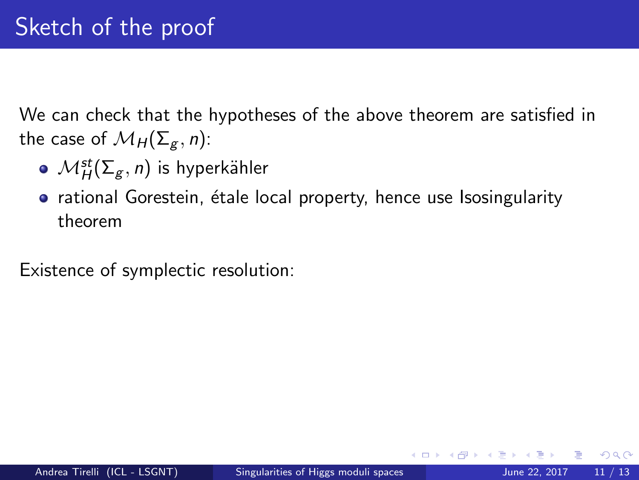- $\mathcal{M}_H^{st}(\mathsf{\Sigma}_g,n)$  is hyperkähler
- rational Gorestein, étale local property, hence use Isosingularity theorem

Existence of symplectic resolution: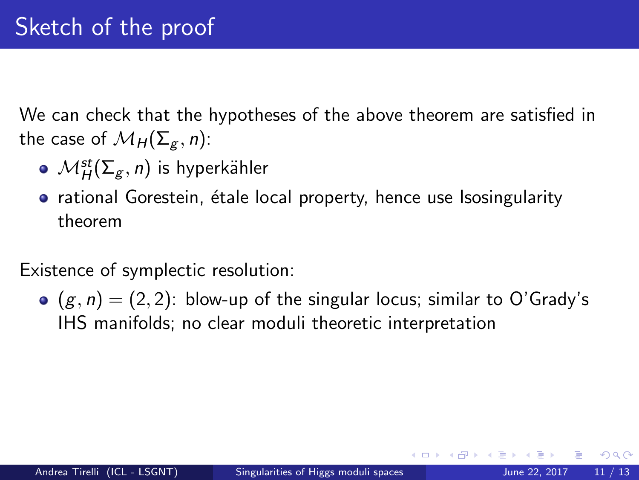- $\mathcal{M}_H^{st}(\mathsf{\Sigma}_g,n)$  is hyperkähler
- rational Gorestein, étale local property, hence use Isosingularity theorem

Existence of symplectic resolution:

 $(g, n) = (2, 2)$ : blow-up of the singular locus; similar to O'Grady's IHS manifolds; no clear moduli theoretic interpretation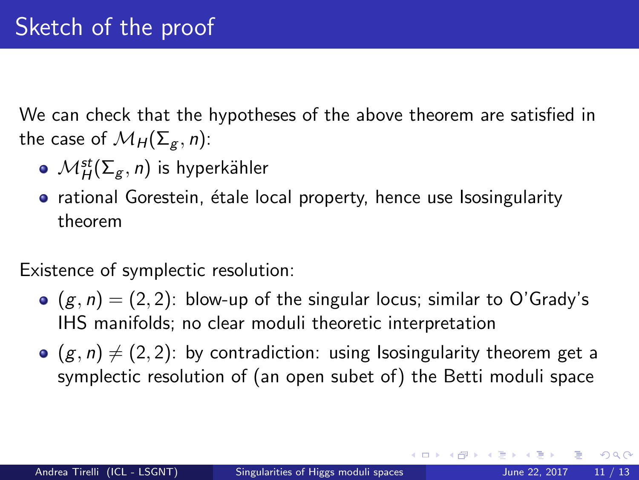- $\mathcal{M}_H^{st}(\mathsf{\Sigma}_g,n)$  is hyperkähler
- rational Gorestein, étale local property, hence use Isosingularity theorem

Existence of symplectic resolution:

- $(g, n) = (2, 2)$ : blow-up of the singular locus; similar to O'Grady's IHS manifolds; no clear moduli theoretic interpretation
- $(g, n) \neq (2, 2)$ : by contradiction: using Isosingularity theorem get a symplectic resolution of (an open subet of) the Betti moduli space

つへへ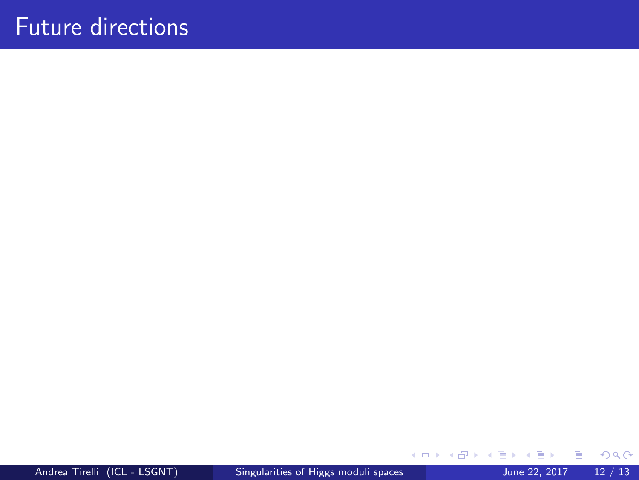**4 ロ ▶ 4 母 ▶ 4** 

∍ × ≃  $299$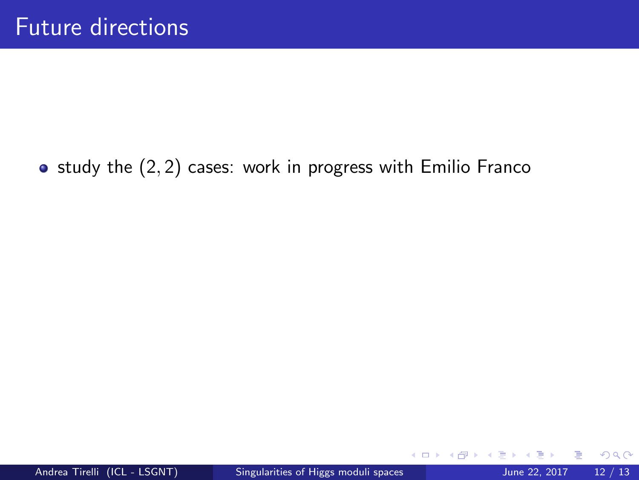$\bullet$  study the  $(2, 2)$  cases: work in progress with Emilio Franco

 $\leftarrow$ 

 $298$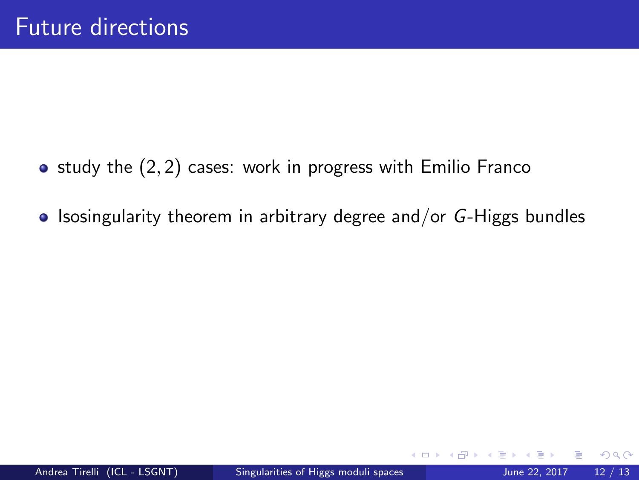- $\bullet$  study the  $(2, 2)$  cases: work in progress with Emilio Franco
- $\bullet$  Isosingularity theorem in arbitrary degree and/or G-Higgs bundles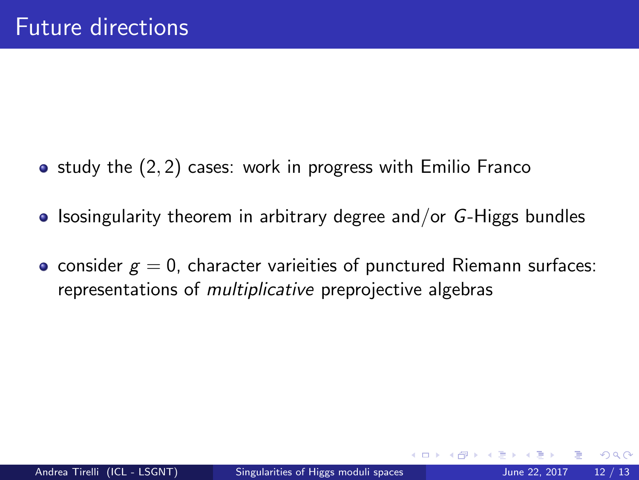- $\bullet$  study the  $(2, 2)$  cases: work in progress with Emilio Franco
- $\bullet$  Isosingularity theorem in arbitrary degree and/or G-Higgs bundles
- consider  $g = 0$ , character varieities of punctured Riemann surfaces: representations of multiplicative preprojective algebras